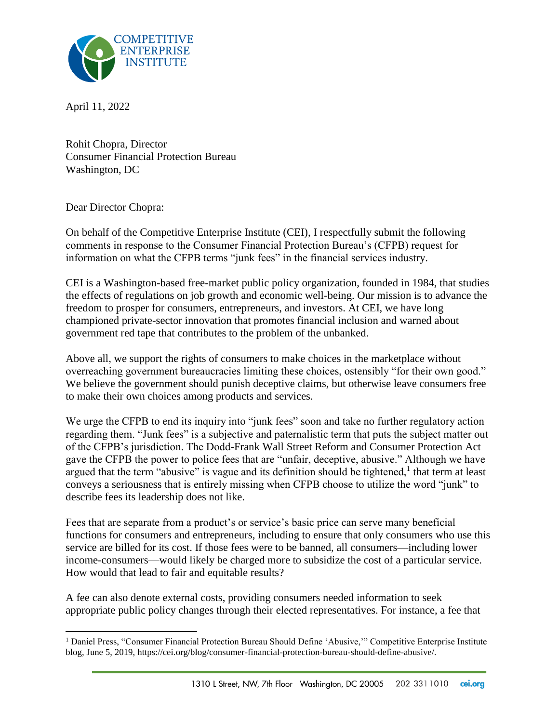

April 11, 2022

Rohit Chopra, Director Consumer Financial Protection Bureau Washington, DC

Dear Director Chopra:

 $\overline{a}$ 

On behalf of the Competitive Enterprise Institute (CEI), I respectfully submit the following comments in response to the Consumer Financial Protection Bureau's (CFPB) request for information on what the CFPB terms "junk fees" in the financial services industry.

CEI is a Washington-based free-market public policy organization, founded in 1984, that studies the effects of regulations on job growth and economic well-being. Our mission is to advance the freedom to prosper for consumers, entrepreneurs, and investors. At CEI, we have long championed private-sector innovation that promotes financial inclusion and warned about government red tape that contributes to the problem of the unbanked.

Above all, we support the rights of consumers to make choices in the marketplace without overreaching government bureaucracies limiting these choices, ostensibly "for their own good." We believe the government should punish deceptive claims, but otherwise leave consumers free to make their own choices among products and services.

We urge the CFPB to end its inquiry into "junk fees" soon and take no further regulatory action regarding them. "Junk fees" is a subjective and paternalistic term that puts the subject matter out of the CFPB's jurisdiction. The Dodd-Frank Wall Street Reform and Consumer Protection Act gave the CFPB the power to police fees that are "unfair, deceptive, abusive." Although we have argued that the term "abusive" is vague and its definition should be tightened, $<sup>1</sup>$  that term at least</sup> conveys a seriousness that is entirely missing when CFPB choose to utilize the word "junk" to describe fees its leadership does not like.

Fees that are separate from a product's or service's basic price can serve many beneficial functions for consumers and entrepreneurs, including to ensure that only consumers who use this service are billed for its cost. If those fees were to be banned, all consumers—including lower income-consumers—would likely be charged more to subsidize the cost of a particular service. How would that lead to fair and equitable results?

A fee can also denote external costs, providing consumers needed information to seek appropriate public policy changes through their elected representatives. For instance, a fee that

<sup>&</sup>lt;sup>1</sup> Daniel Press, "Consumer Financial Protection Bureau Should Define 'Abusive," Competitive Enterprise Institute blog, June 5, 2019, https://cei.org/blog/consumer-financial-protection-bureau-should-define-abusive/.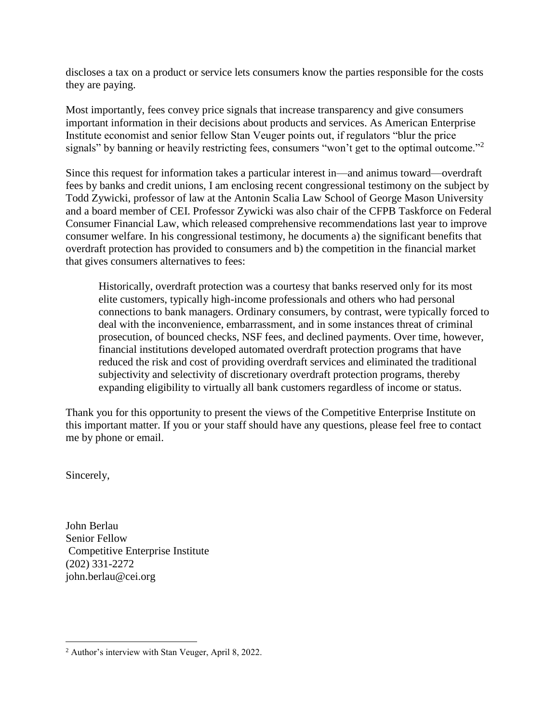discloses a tax on a product or service lets consumers know the parties responsible for the costs they are paying.

Most importantly, fees convey price signals that increase transparency and give consumers important information in their decisions about products and services. As American Enterprise Institute economist and senior fellow Stan Veuger points out, if regulators "blur the price signals" by banning or heavily restricting fees, consumers "won't get to the optimal outcome."<sup>2</sup>

Since this request for information takes a particular interest in—and animus toward—overdraft fees by banks and credit unions, I am enclosing recent congressional testimony on the subject by Todd Zywicki, professor of law at the Antonin Scalia Law School of George Mason University and a board member of CEI. Professor Zywicki was also chair of the CFPB Taskforce on Federal Consumer Financial Law, which released comprehensive recommendations last year to improve consumer welfare. In his congressional testimony, he documents a) the significant benefits that overdraft protection has provided to consumers and b) the competition in the financial market that gives consumers alternatives to fees:

Historically, overdraft protection was a courtesy that banks reserved only for its most elite customers, typically high-income professionals and others who had personal connections to bank managers. Ordinary consumers, by contrast, were typically forced to deal with the inconvenience, embarrassment, and in some instances threat of criminal prosecution, of bounced checks, NSF fees, and declined payments. Over time, however, financial institutions developed automated overdraft protection programs that have reduced the risk and cost of providing overdraft services and eliminated the traditional subjectivity and selectivity of discretionary overdraft protection programs, thereby expanding eligibility to virtually all bank customers regardless of income or status.

Thank you for this opportunity to present the views of the Competitive Enterprise Institute on this important matter. If you or your staff should have any questions, please feel free to contact me by phone or email.

Sincerely,

 $\overline{\phantom{a}}$ 

John Berlau Senior Fellow Competitive Enterprise Institute (202) 331-2272 john.berlau@cei.org

<sup>2</sup> Author's interview with Stan Veuger, April 8, 2022.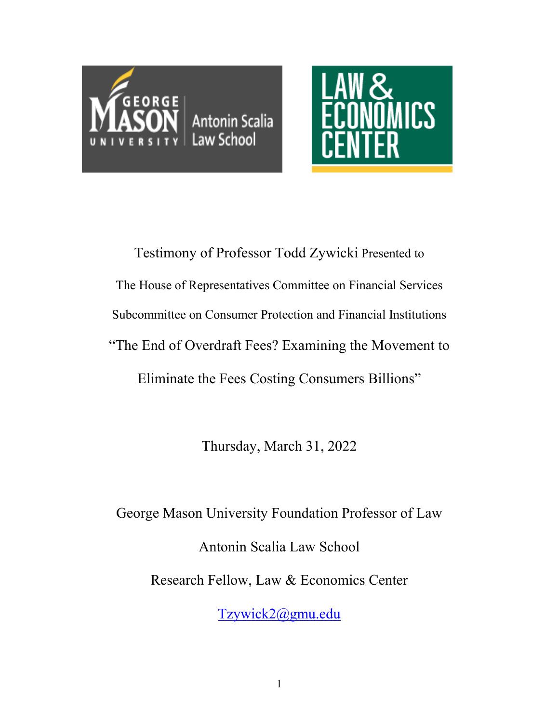



Testimony of Professor Todd Zywicki Presented to The House of Representatives Committee on Financial Services Subcommittee on Consumer Protection and Financial Institutions "The End of Overdraft Fees? Examining the Movement to Eliminate the Fees Costing Consumers Billions"

Thursday, March 31, 2022

George Mason University Foundation Professor of Law Antonin Scalia Law School Research Fellow, Law & Economics Center

[Tzywick2@gmu.edu](mailto:Tzywick2@gmu.edu)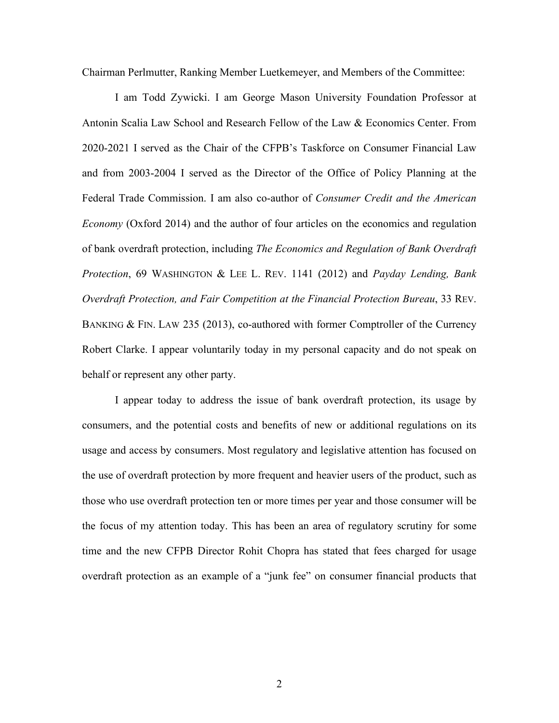Chairman Perlmutter, Ranking Member Luetkemeyer, and Members of the Committee:

I am Todd Zywicki. I am George Mason University Foundation Professor at Antonin Scalia Law School and Research Fellow of the Law & Economics Center. From 2020-2021 I served as the Chair of the CFPB's Taskforce on Consumer Financial Law and from 2003-2004 I served as the Director of the Office of Policy Planning at the Federal Trade Commission. I am also co-author of *Consumer Credit and the American Economy* (Oxford 2014) and the author of four articles on the economics and regulation of bank overdraft protection, including *The Economics and Regulation of Bank Overdraft Protection*, 69 WASHINGTON & LEE L. REV. 1141 (2012) and *Payday Lending, Bank Overdraft Protection, and Fair Competition at the Financial Protection Bureau*, 33 REV. BANKING & FIN. LAW 235 (2013), co-authored with former Comptroller of the Currency Robert Clarke. I appear voluntarily today in my personal capacity and do not speak on behalf or represent any other party.

I appear today to address the issue of bank overdraft protection, its usage by consumers, and the potential costs and benefits of new or additional regulations on its usage and access by consumers. Most regulatory and legislative attention has focused on the use of overdraft protection by more frequent and heavier users of the product, such as those who use overdraft protection ten or more times per year and those consumer will be the focus of my attention today. This has been an area of regulatory scrutiny for some time and the new CFPB Director Rohit Chopra has stated that fees charged for usage overdraft protection as an example of a "junk fee" on consumer financial products that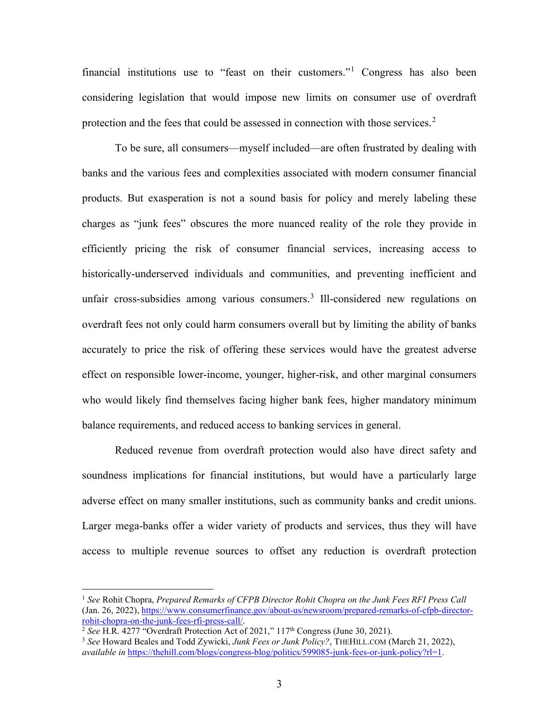financial institutions use to "feast on their customers."[1](#page-4-0) Congress has also been considering legislation that would impose new limits on consumer use of overdraft protection and the fees that could be assessed in connection with those services. $2$ 

To be sure, all consumers—myself included—are often frustrated by dealing with banks and the various fees and complexities associated with modern consumer financial products. But exasperation is not a sound basis for policy and merely labeling these charges as "junk fees" obscures the more nuanced reality of the role they provide in efficiently pricing the risk of consumer financial services, increasing access to historically-underserved individuals and communities, and preventing inefficient and unfair cross-subsidies among various consumers.<sup>[3](#page-4-2)</sup> Ill-considered new regulations on overdraft fees not only could harm consumers overall but by limiting the ability of banks accurately to price the risk of offering these services would have the greatest adverse effect on responsible lower-income, younger, higher-risk, and other marginal consumers who would likely find themselves facing higher bank fees, higher mandatory minimum balance requirements, and reduced access to banking services in general.

Reduced revenue from overdraft protection would also have direct safety and soundness implications for financial institutions, but would have a particularly large adverse effect on many smaller institutions, such as community banks and credit unions. Larger mega-banks offer a wider variety of products and services, thus they will have access to multiple revenue sources to offset any reduction is overdraft protection

<span id="page-4-0"></span><sup>1</sup> *See* Rohit Chopra, *Prepared Remarks of CFPB Director Rohit Chopra on the Junk Fees RFI Press Call* (Jan. 26, 2022), [https://www.consumerfinance.gov/about-us/newsroom/prepared-remarks-of-cfpb-director](https://www.consumerfinance.gov/about-us/newsroom/prepared-remarks-of-cfpb-director-rohit-chopra-on-the-junk-fees-rfi-press-call/)[rohit-chopra-on-the-junk-fees-rfi-press-call/.](https://www.consumerfinance.gov/about-us/newsroom/prepared-remarks-of-cfpb-director-rohit-chopra-on-the-junk-fees-rfi-press-call/)

<span id="page-4-1"></span><sup>&</sup>lt;sup>2</sup> See H.R. 4277 "Overdraft Protection Act of 2021," 117<sup>th</sup> Congress (June 30, 2021).

<span id="page-4-2"></span><sup>3</sup> *See* Howard Beales and Todd Zywicki, *Junk Fees or Junk Policy?*, THEHILL.COM (March 21, 2022), *available in* [https://thehill.com/blogs/congress-blog/politics/599085-junk-fees-or-junk-policy?rl=1.](https://thehill.com/blogs/congress-blog/politics/599085-junk-fees-or-junk-policy?rl=1)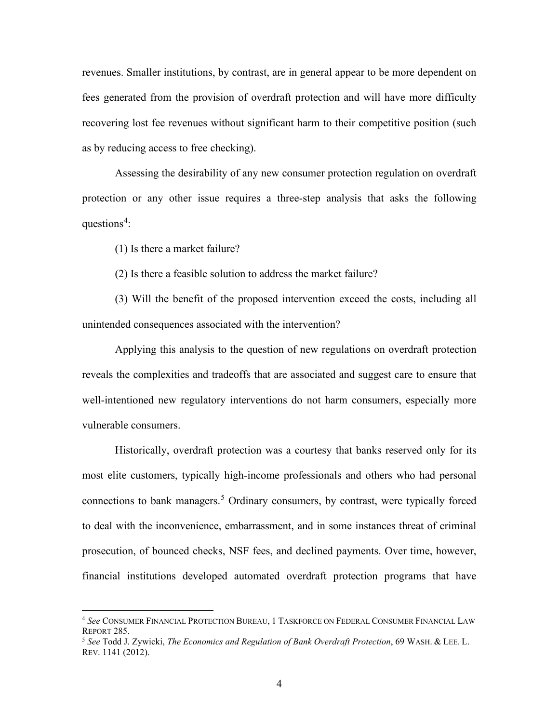revenues. Smaller institutions, by contrast, are in general appear to be more dependent on fees generated from the provision of overdraft protection and will have more difficulty recovering lost fee revenues without significant harm to their competitive position (such as by reducing access to free checking).

Assessing the desirability of any new consumer protection regulation on overdraft protection or any other issue requires a three-step analysis that asks the following questions<sup>[4](#page-5-0)</sup>:

<span id="page-5-2"></span>(1) Is there a market failure?

(2) Is there a feasible solution to address the market failure?

(3) Will the benefit of the proposed intervention exceed the costs, including all unintended consequences associated with the intervention?

Applying this analysis to the question of new regulations on overdraft protection reveals the complexities and tradeoffs that are associated and suggest care to ensure that well-intentioned new regulatory interventions do not harm consumers, especially more vulnerable consumers.

<span id="page-5-3"></span>Historically, overdraft protection was a courtesy that banks reserved only for its most elite customers, typically high-income professionals and others who had personal connections to bank managers.<sup>[5](#page-5-1)</sup> Ordinary consumers, by contrast, were typically forced to deal with the inconvenience, embarrassment, and in some instances threat of criminal prosecution, of bounced checks, NSF fees, and declined payments. Over time, however, financial institutions developed automated overdraft protection programs that have

<span id="page-5-0"></span><sup>4</sup> *See* CONSUMER FINANCIAL PROTECTION BUREAU, 1 TASKFORCE ON FEDERAL CONSUMER FINANCIAL LAW

<span id="page-5-1"></span><sup>&</sup>lt;sup>5</sup> See Todd J. Zywicki, *The Economics and Regulation of Bank Overdraft Protection*, 69 WASH. & LEE. L. REV. 1141 (2012).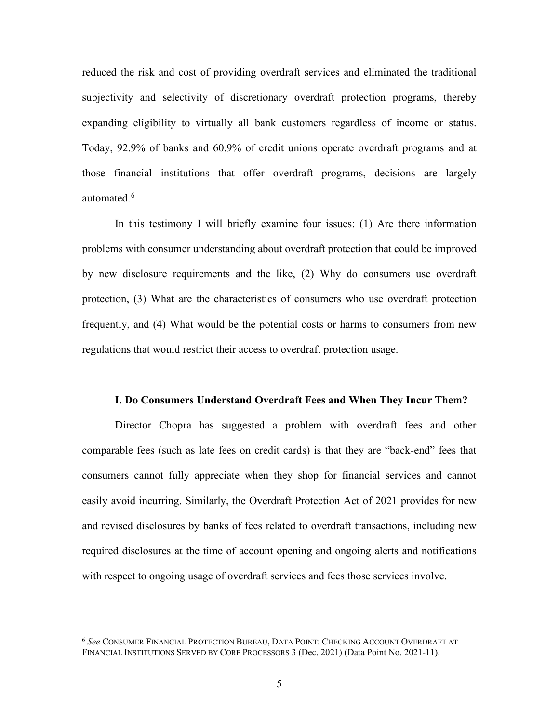reduced the risk and cost of providing overdraft services and eliminated the traditional subjectivity and selectivity of discretionary overdraft protection programs, thereby expanding eligibility to virtually all bank customers regardless of income or status. Today, 92.9% of banks and 60.9% of credit unions operate overdraft programs and at those financial institutions that offer overdraft programs, decisions are largely automated.<sup>[6](#page-6-0)</sup>

In this testimony I will briefly examine four issues: (1) Are there information problems with consumer understanding about overdraft protection that could be improved by new disclosure requirements and the like, (2) Why do consumers use overdraft protection, (3) What are the characteristics of consumers who use overdraft protection frequently, and (4) What would be the potential costs or harms to consumers from new regulations that would restrict their access to overdraft protection usage.

#### **I. Do Consumers Understand Overdraft Fees and When They Incur Them?**

Director Chopra has suggested a problem with overdraft fees and other comparable fees (such as late fees on credit cards) is that they are "back-end" fees that consumers cannot fully appreciate when they shop for financial services and cannot easily avoid incurring. Similarly, the Overdraft Protection Act of 2021 provides for new and revised disclosures by banks of fees related to overdraft transactions, including new required disclosures at the time of account opening and ongoing alerts and notifications with respect to ongoing usage of overdraft services and fees those services involve.

<span id="page-6-0"></span><sup>6</sup> *See* CONSUMER FINANCIAL PROTECTION BUREAU, DATA POINT: CHECKING ACCOUNT OVERDRAFT AT FINANCIAL INSTITUTIONS SERVED BY CORE PROCESSORS 3 (Dec. 2021) (Data Point No. 2021-11).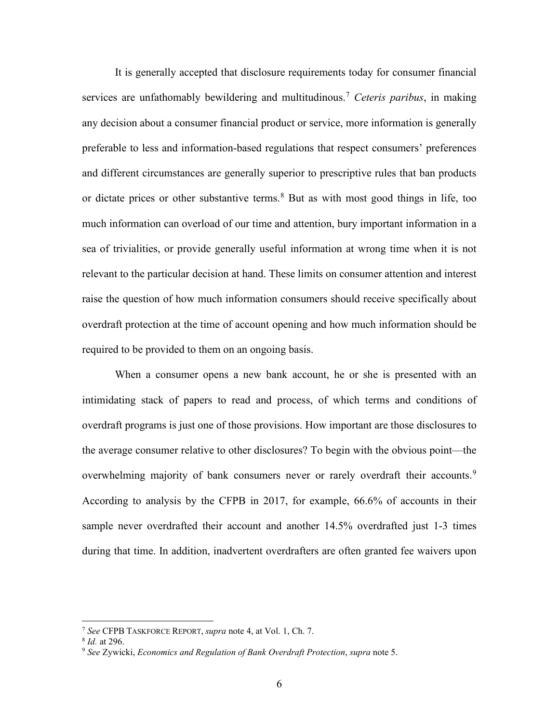It is generally accepted that disclosure requirements today for consumer financial services are unfathomably bewildering and multitudinous.[7](#page-7-0) *Ceteris paribus*, in making any decision about a consumer financial product or service, more information is generally preferable to less and information-based regulations that respect consumers' preferences and different circumstances are generally superior to prescriptive rules that ban products or dictate prices or other substantive terms. [8](#page-7-1) But as with most good things in life, too much information can overload of our time and attention, bury important information in a sea of trivialities, or provide generally useful information at wrong time when it is not relevant to the particular decision at hand. These limits on consumer attention and interest raise the question of how much information consumers should receive specifically about overdraft protection at the time of account opening and how much information should be required to be provided to them on an ongoing basis.

When a consumer opens a new bank account, he or she is presented with an intimidating stack of papers to read and process, of which terms and conditions of overdraft programs is just one of those provisions. How important are those disclosures to the average consumer relative to other disclosures? To begin with the obvious point—the overwhelming majority of bank consumers never or rarely overdraft their accounts.<sup>[9](#page-7-2)</sup> According to analysis by the CFPB in 2017, for example, 66.6% of accounts in their sample never overdrafted their account and another 14.5% overdrafted just 1-3 times during that time. In addition, inadvertent overdrafters are often granted fee waivers upon

<span id="page-7-0"></span><sup>7</sup> *See* CFPB TASKFORCE REPORT, *supra* note [4,](#page-5-2) at Vol. 1, Ch. 7. 8 *Id.* at 296.

<span id="page-7-1"></span>

<span id="page-7-2"></span><sup>9</sup> *See* Zywicki, *Economics and Regulation of Bank Overdraft Protection*, *supra* note [5.](#page-5-3)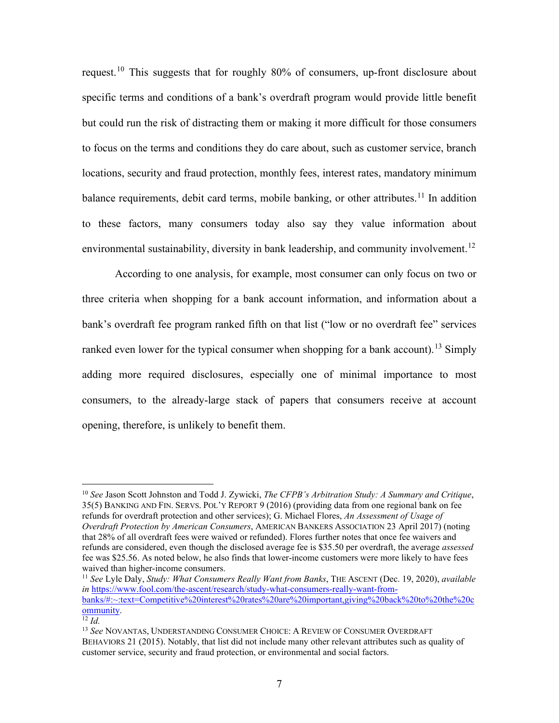request.[10](#page-8-0) This suggests that for roughly 80% of consumers, up-front disclosure about specific terms and conditions of a bank's overdraft program would provide little benefit but could run the risk of distracting them or making it more difficult for those consumers to focus on the terms and conditions they do care about, such as customer service, branch locations, security and fraud protection, monthly fees, interest rates, mandatory minimum balance requirements, debit card terms, mobile banking, or other attributes.<sup>[11](#page-8-1)</sup> In addition to these factors, many consumers today also say they value information about environmental sustainability, diversity in bank leadership, and community involvement.<sup>[12](#page-8-2)</sup>

According to one analysis, for example, most consumer can only focus on two or three criteria when shopping for a bank account information, and information about a bank's overdraft fee program ranked fifth on that list ("low or no overdraft fee" services ranked even lower for the typical consumer when shopping for a bank account).<sup>[13](#page-8-3)</sup> Simply adding more required disclosures, especially one of minimal importance to most consumers, to the already-large stack of papers that consumers receive at account opening, therefore, is unlikely to benefit them.

<span id="page-8-0"></span><sup>10</sup> *See* Jason Scott Johnston and Todd J. Zywicki, *The CFPB's Arbitration Study: A Summary and Critique*, 35(5) BANKING AND FIN. SERVS. POL'Y REPORT 9 (2016) (providing data from one regional bank on fee refunds for overdraft protection and other services); G. Michael Flores, *An Assessment of Usage of Overdraft Protection by American Consumers*, AMERICAN BANKERS ASSOCIATION 23 April 2017) (noting that 28% of all overdraft fees were waived or refunded). Flores further notes that once fee waivers and refunds are considered, even though the disclosed average fee is \$35.50 per overdraft, the average *assessed* fee was \$25.56. As noted below, he also finds that lower-income customers were more likely to have fees waived than higher-income consumers.

<span id="page-8-1"></span><sup>11</sup> *See* Lyle Daly, *Study: What Consumers Really Want from Banks*, THE ASCENT (Dec. 19, 2020), *available in* [https://www.fool.com/the-ascent/research/study-what-consumers-really-want-from](https://www.fool.com/the-ascent/research/study-what-consumers-really-want-from-banks/#:%7E:text=Competitive%20interest%20rates%20are%20important,giving%20back%20to%20the%20community)[banks/#:~:text=Competitive%20interest%20rates%20are%20important,giving%20back%20to%20the%20c](https://www.fool.com/the-ascent/research/study-what-consumers-really-want-from-banks/#:%7E:text=Competitive%20interest%20rates%20are%20important,giving%20back%20to%20the%20community) [ommunity.](https://www.fool.com/the-ascent/research/study-what-consumers-really-want-from-banks/#:%7E:text=Competitive%20interest%20rates%20are%20important,giving%20back%20to%20the%20community)

<span id="page-8-2"></span><sup>12</sup> *Id.*

<span id="page-8-3"></span><sup>13</sup> *See* NOVANTAS, UNDERSTANDING CONSUMER CHOICE: A REVIEW OF CONSUMER OVERDRAFT BEHAVIORS 21 (2015). Notably, that list did not include many other relevant attributes such as quality of customer service, security and fraud protection, or environmental and social factors.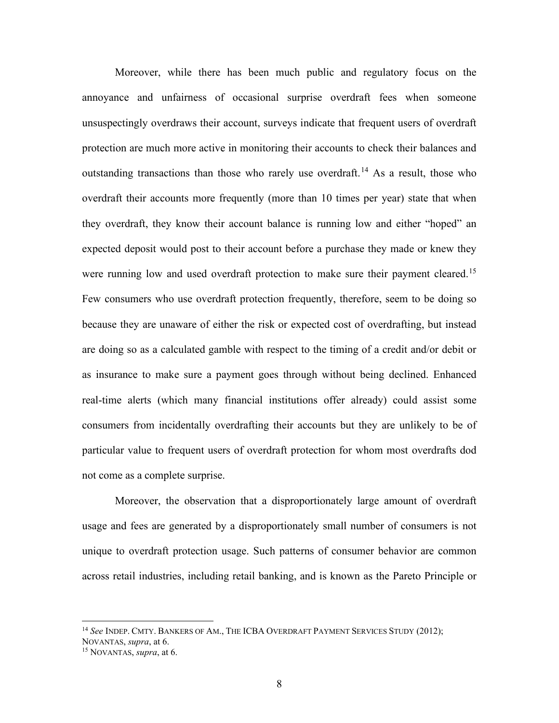<span id="page-9-2"></span>Moreover, while there has been much public and regulatory focus on the annoyance and unfairness of occasional surprise overdraft fees when someone unsuspectingly overdraws their account, surveys indicate that frequent users of overdraft protection are much more active in monitoring their accounts to check their balances and outstanding transactions than those who rarely use overdraft.<sup>[14](#page-9-0)</sup> As a result, those who overdraft their accounts more frequently (more than 10 times per year) state that when they overdraft, they know their account balance is running low and either "hoped" an expected deposit would post to their account before a purchase they made or knew they were running low and used overdraft protection to make sure their payment cleared.<sup>[15](#page-9-1)</sup> Few consumers who use overdraft protection frequently, therefore, seem to be doing so because they are unaware of either the risk or expected cost of overdrafting, but instead are doing so as a calculated gamble with respect to the timing of a credit and/or debit or as insurance to make sure a payment goes through without being declined. Enhanced real-time alerts (which many financial institutions offer already) could assist some consumers from incidentally overdrafting their accounts but they are unlikely to be of particular value to frequent users of overdraft protection for whom most overdrafts dod not come as a complete surprise.

Moreover, the observation that a disproportionately large amount of overdraft usage and fees are generated by a disproportionately small number of consumers is not unique to overdraft protection usage. Such patterns of consumer behavior are common across retail industries, including retail banking, and is known as the Pareto Principle or

<span id="page-9-0"></span><sup>14</sup> *See* INDEP. CMTY. BANKERS OF AM., THE ICBA OVERDRAFT PAYMENT SERVICES STUDY (2012); NOVANTAS, *supra*, at 6.

<span id="page-9-1"></span><sup>15</sup> NOVANTAS, *supra*, at 6.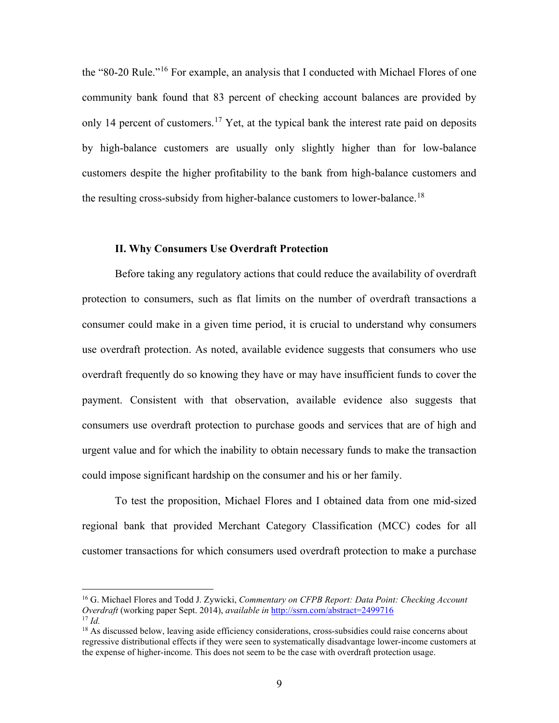<span id="page-10-3"></span>the "80-20 Rule."[16](#page-10-0) For example, an analysis that I conducted with Michael Flores of one community bank found that 83 percent of checking account balances are provided by only 14 percent of customers.<sup>[17](#page-10-1)</sup> Yet, at the typical bank the interest rate paid on deposits by high-balance customers are usually only slightly higher than for low-balance customers despite the higher profitability to the bank from high-balance customers and the resulting cross-subsidy from higher-balance customers to lower-balance.<sup>[18](#page-10-2)</sup>

## **II. Why Consumers Use Overdraft Protection**

Before taking any regulatory actions that could reduce the availability of overdraft protection to consumers, such as flat limits on the number of overdraft transactions a consumer could make in a given time period, it is crucial to understand why consumers use overdraft protection. As noted, available evidence suggests that consumers who use overdraft frequently do so knowing they have or may have insufficient funds to cover the payment. Consistent with that observation, available evidence also suggests that consumers use overdraft protection to purchase goods and services that are of high and urgent value and for which the inability to obtain necessary funds to make the transaction could impose significant hardship on the consumer and his or her family.

To test the proposition, Michael Flores and I obtained data from one mid-sized regional bank that provided Merchant Category Classification (MCC) codes for all customer transactions for which consumers used overdraft protection to make a purchase

<span id="page-10-0"></span><sup>16</sup> G. Michael Flores and Todd J. Zywicki, *Commentary on CFPB Report: Data Point: Checking Account Overdraft* (working paper Sept. 2014), *available in* <http://ssrn.com/abstract=2499716> <sup>17</sup> *Id.*

<span id="page-10-2"></span><span id="page-10-1"></span><sup>&</sup>lt;sup>18</sup> As discussed below, leaving aside efficiency considerations, cross-subsidies could raise concerns about regressive distributional effects if they were seen to systematically disadvantage lower-income customers at the expense of higher-income. This does not seem to be the case with overdraft protection usage.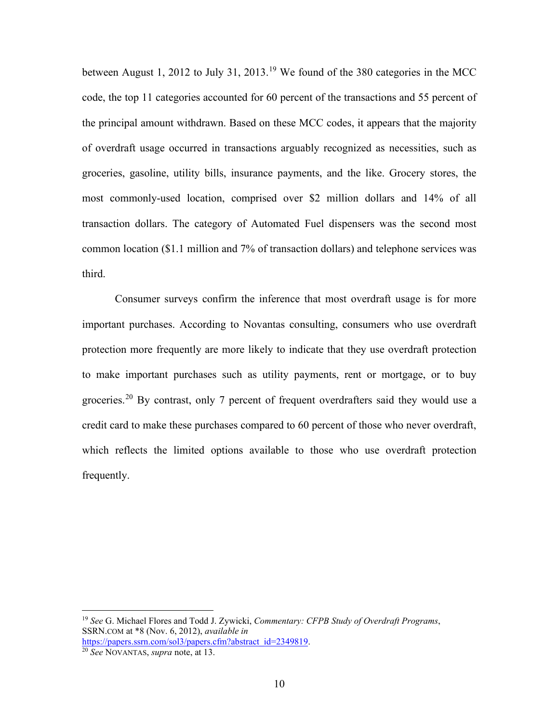between August 1, 2012 to July 31, 2013.[19](#page-11-0) We found of the 380 categories in the MCC code, the top 11 categories accounted for 60 percent of the transactions and 55 percent of the principal amount withdrawn. Based on these MCC codes, it appears that the majority of overdraft usage occurred in transactions arguably recognized as necessities, such as groceries, gasoline, utility bills, insurance payments, and the like. Grocery stores, the most commonly-used location, comprised over \$2 million dollars and 14% of all transaction dollars. The category of Automated Fuel dispensers was the second most common location (\$1.1 million and 7% of transaction dollars) and telephone services was third.

Consumer surveys confirm the inference that most overdraft usage is for more important purchases. According to Novantas consulting, consumers who use overdraft protection more frequently are more likely to indicate that they use overdraft protection to make important purchases such as utility payments, rent or mortgage, or to buy groceries.<sup>[20](#page-11-1)</sup> By contrast, only 7 percent of frequent overdrafters said they would use a credit card to make these purchases compared to 60 percent of those who never overdraft, which reflects the limited options available to those who use overdraft protection frequently.

<span id="page-11-0"></span><sup>19</sup> *See* G. Michael Flores and Todd J. Zywicki, *Commentary: CFPB Study of Overdraft Programs*, SSRN.COM at \*8 (Nov. 6, 2012), *available in* [https://papers.ssrn.com/sol3/papers.cfm?abstract\\_id=2349819.](https://papers.ssrn.com/sol3/papers.cfm?abstract_id=2349819) 20 *See* NOVANTAS, *supra* note, at 13.

<span id="page-11-1"></span>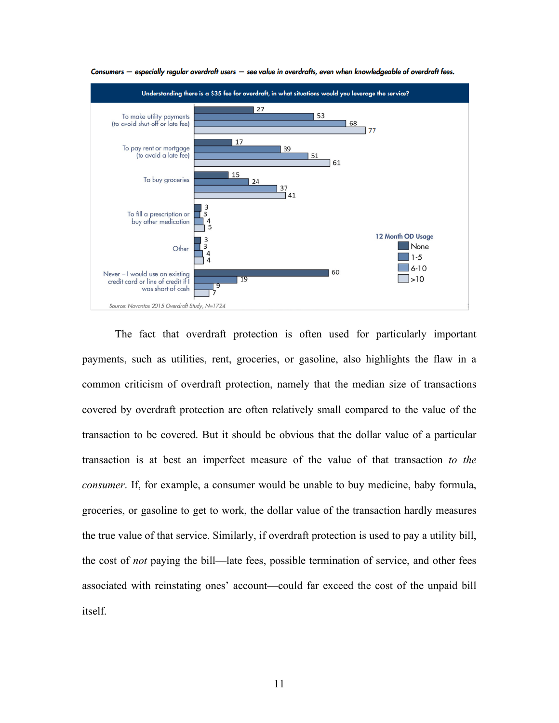

Consumers - especially regular overdraft users - see value in overdrafts, even when knowledgeable of overdraft fees.

The fact that overdraft protection is often used for particularly important payments, such as utilities, rent, groceries, or gasoline, also highlights the flaw in a common criticism of overdraft protection, namely that the median size of transactions covered by overdraft protection are often relatively small compared to the value of the transaction to be covered. But it should be obvious that the dollar value of a particular transaction is at best an imperfect measure of the value of that transaction *to the consumer*. If, for example, a consumer would be unable to buy medicine, baby formula, groceries, or gasoline to get to work, the dollar value of the transaction hardly measures the true value of that service. Similarly, if overdraft protection is used to pay a utility bill, the cost of *not* paying the bill—late fees, possible termination of service, and other fees associated with reinstating ones' account—could far exceed the cost of the unpaid bill itself.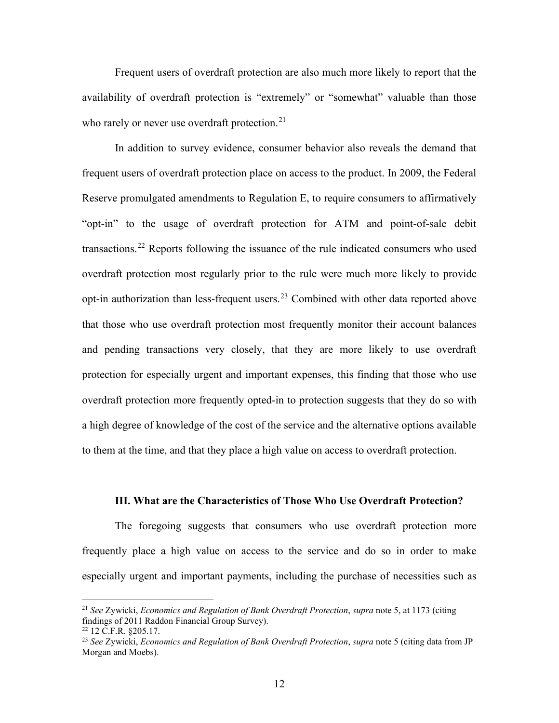Frequent users of overdraft protection are also much more likely to report that the availability of overdraft protection is "extremely" or "somewhat" valuable than those who rarely or never use overdraft protection.<sup>[21](#page-13-0)</sup>

In addition to survey evidence, consumer behavior also reveals the demand that frequent users of overdraft protection place on access to the product. In 2009, the Federal Reserve promulgated amendments to Regulation E, to require consumers to affirmatively "opt-in" to the usage of overdraft protection for ATM and point-of-sale debit transactions.<sup>[22](#page-13-1)</sup> Reports following the issuance of the rule indicated consumers who used overdraft protection most regularly prior to the rule were much more likely to provide opt-in authorization than less-frequent users.[23](#page-13-2) Combined with other data reported above that those who use overdraft protection most frequently monitor their account balances and pending transactions very closely, that they are more likely to use overdraft protection for especially urgent and important expenses, this finding that those who use overdraft protection more frequently opted-in to protection suggests that they do so with a high degree of knowledge of the cost of the service and the alternative options available to them at the time, and that they place a high value on access to overdraft protection.

#### **III. What are the Characteristics of Those Who Use Overdraft Protection?**

The foregoing suggests that consumers who use overdraft protection more frequently place a high value on access to the service and do so in order to make especially urgent and important payments, including the purchase of necessities such as

<span id="page-13-0"></span><sup>21</sup> *See* Zywicki, *Economics and Regulation of Bank Overdraft Protection*, *supra* not[e 5,](#page-5-3) at 1173 (citing findings of 2011 Raddon Financial Group Survey).

<span id="page-13-1"></span> $22$  12 C.F.R.  $$205.17$ .

<span id="page-13-2"></span><sup>23</sup> *See* Zywicki, *Economics and Regulation of Bank Overdraft Protection*, *supra* not[e 5](#page-5-3) (citing data from JP Morgan and Moebs).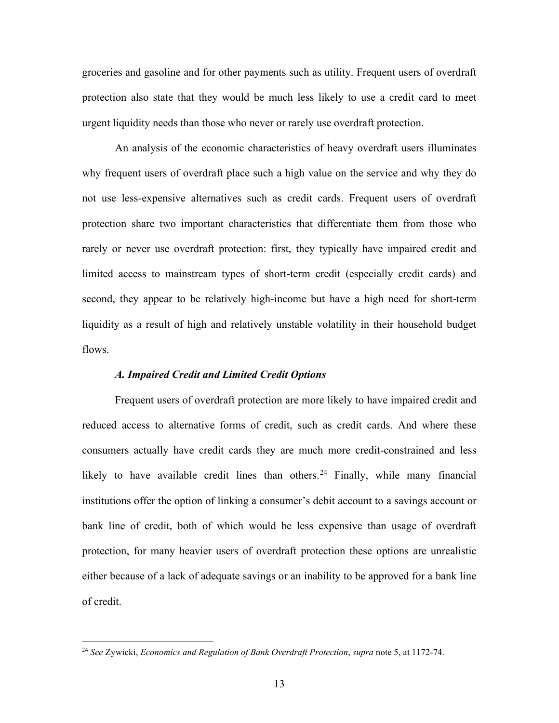groceries and gasoline and for other payments such as utility. Frequent users of overdraft protection also state that they would be much less likely to use a credit card to meet urgent liquidity needs than those who never or rarely use overdraft protection.

An analysis of the economic characteristics of heavy overdraft users illuminates why frequent users of overdraft place such a high value on the service and why they do not use less-expensive alternatives such as credit cards. Frequent users of overdraft protection share two important characteristics that differentiate them from those who rarely or never use overdraft protection: first, they typically have impaired credit and limited access to mainstream types of short-term credit (especially credit cards) and second, they appear to be relatively high-income but have a high need for short-term liquidity as a result of high and relatively unstable volatility in their household budget flows.

## *A. Impaired Credit and Limited Credit Options*

Frequent users of overdraft protection are more likely to have impaired credit and reduced access to alternative forms of credit, such as credit cards. And where these consumers actually have credit cards they are much more credit-constrained and less likely to have available credit lines than others.<sup>[24](#page-14-0)</sup> Finally, while many financial institutions offer the option of linking a consumer's debit account to a savings account or bank line of credit, both of which would be less expensive than usage of overdraft protection, for many heavier users of overdraft protection these options are unrealistic either because of a lack of adequate savings or an inability to be approved for a bank line of credit.

<span id="page-14-0"></span><sup>24</sup> *See* Zywicki, *Economics and Regulation of Bank Overdraft Protection*, *supra* not[e 5,](#page-5-3) at 1172-74.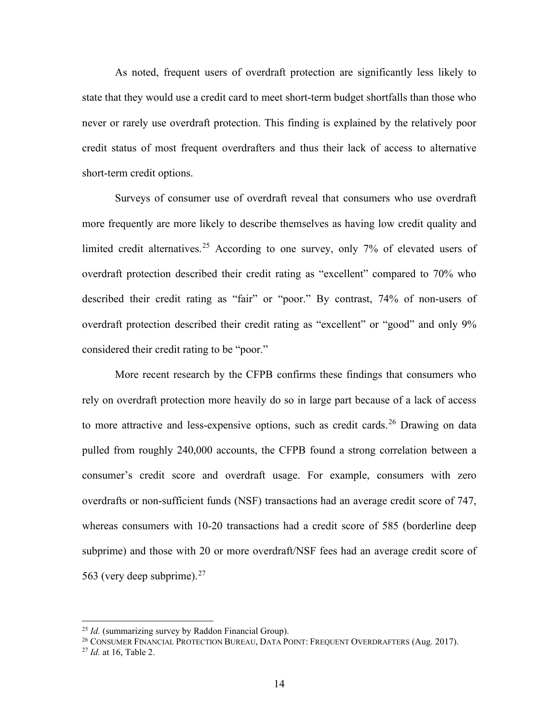As noted, frequent users of overdraft protection are significantly less likely to state that they would use a credit card to meet short-term budget shortfalls than those who never or rarely use overdraft protection. This finding is explained by the relatively poor credit status of most frequent overdrafters and thus their lack of access to alternative short-term credit options.

Surveys of consumer use of overdraft reveal that consumers who use overdraft more frequently are more likely to describe themselves as having low credit quality and limited credit alternatives.<sup>[25](#page-15-0)</sup> According to one survey, only 7% of elevated users of overdraft protection described their credit rating as "excellent" compared to 70% who described their credit rating as "fair" or "poor." By contrast, 74% of non-users of overdraft protection described their credit rating as "excellent" or "good" and only 9% considered their credit rating to be "poor."

More recent research by the CFPB confirms these findings that consumers who rely on overdraft protection more heavily do so in large part because of a lack of access to more attractive and less-expensive options, such as credit cards.<sup>[26](#page-15-1)</sup> Drawing on data pulled from roughly 240,000 accounts, the CFPB found a strong correlation between a consumer's credit score and overdraft usage. For example, consumers with zero overdrafts or non-sufficient funds (NSF) transactions had an average credit score of 747, whereas consumers with 10-20 transactions had a credit score of 585 (borderline deep subprime) and those with 20 or more overdraft/NSF fees had an average credit score of 563 (very deep subprime). $27$ 

<span id="page-15-0"></span><sup>25</sup> *Id.* (summarizing survey by Raddon Financial Group).

<span id="page-15-1"></span><sup>&</sup>lt;sup>26</sup> CONSUMER FINANCIAL PROTECTION BUREAU, DATA POINT: FREQUENT OVERDRAFTERS (Aug. 2017).

<span id="page-15-2"></span><sup>27</sup> *Id.* at 16, Table 2.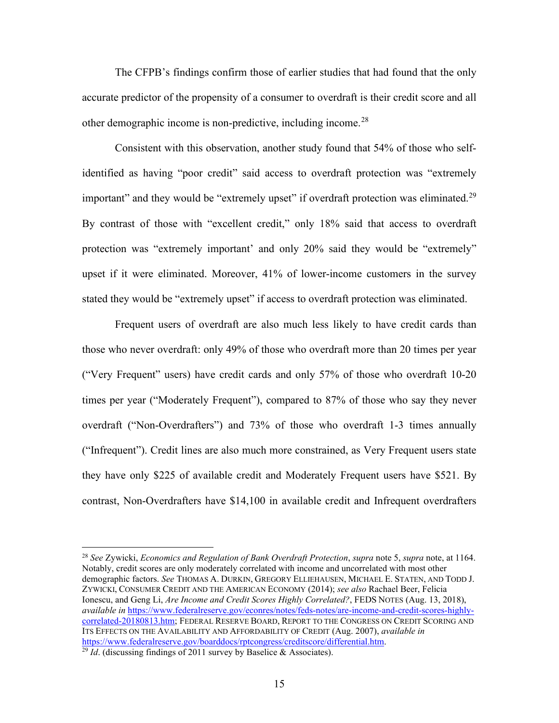The CFPB's findings confirm those of earlier studies that had found that the only accurate predictor of the propensity of a consumer to overdraft is their credit score and all other demographic income is non-predictive, including income.<sup>[28](#page-16-0)</sup>

Consistent with this observation, another study found that 54% of those who selfidentified as having "poor credit" said access to overdraft protection was "extremely important" and they would be "extremely upset" if overdraft protection was eliminated.<sup>[29](#page-16-1)</sup> By contrast of those with "excellent credit," only 18% said that access to overdraft protection was "extremely important' and only 20% said they would be "extremely" upset if it were eliminated. Moreover, 41% of lower-income customers in the survey stated they would be "extremely upset" if access to overdraft protection was eliminated.

Frequent users of overdraft are also much less likely to have credit cards than those who never overdraft: only 49% of those who overdraft more than 20 times per year ("Very Frequent" users) have credit cards and only 57% of those who overdraft 10-20 times per year ("Moderately Frequent"), compared to 87% of those who say they never overdraft ("Non-Overdrafters") and 73% of those who overdraft 1-3 times annually ("Infrequent"). Credit lines are also much more constrained, as Very Frequent users state they have only \$225 of available credit and Moderately Frequent users have \$521. By contrast, Non-Overdrafters have \$14,100 in available credit and Infrequent overdrafters

<span id="page-16-0"></span><sup>28</sup> *See* Zywicki, *Economics and Regulation of Bank Overdraft Protection*, *supra* not[e 5,](#page-5-3) *supra* note, at 1164. Notably, credit scores are only moderately correlated with income and uncorrelated with most other demographic factors. *See* THOMAS A. DURKIN, GREGORY ELLIEHAUSEN, MICHAEL E. STATEN, AND TODD J. ZYWICKI, CONSUMER CREDIT AND THE AMERICAN ECONOMY (2014); *see also* Rachael Beer, Felicia Ionescu, and Geng Li, *Are Income and Credit Scores Highly Correlated?*, FEDS NOTES (Aug. 13, 2018), *available in* [https://www.federalreserve.gov/econres/notes/feds-notes/are-income-and-credit-scores-highly](https://www.federalreserve.gov/econres/notes/feds-notes/are-income-and-credit-scores-highly-correlated-20180813.htm)[correlated-20180813.htm;](https://www.federalreserve.gov/econres/notes/feds-notes/are-income-and-credit-scores-highly-correlated-20180813.htm) FEDERAL RESERVE BOARD, REPORT TO THE CONGRESS ON CREDIT SCORING AND ITS EFFECTS ON THE AVAILABILITY AND AFFORDABILITY OF CREDIT (Aug. 2007), *available in* [https://www.federalreserve.gov/boarddocs/rptcongress/creditscore/differential.htm.](https://www.federalreserve.gov/boarddocs/rptcongress/creditscore/differential.htm) 29 *Id*. (discussing findings of 2011 survey by Baselice & Associates).

<span id="page-16-1"></span>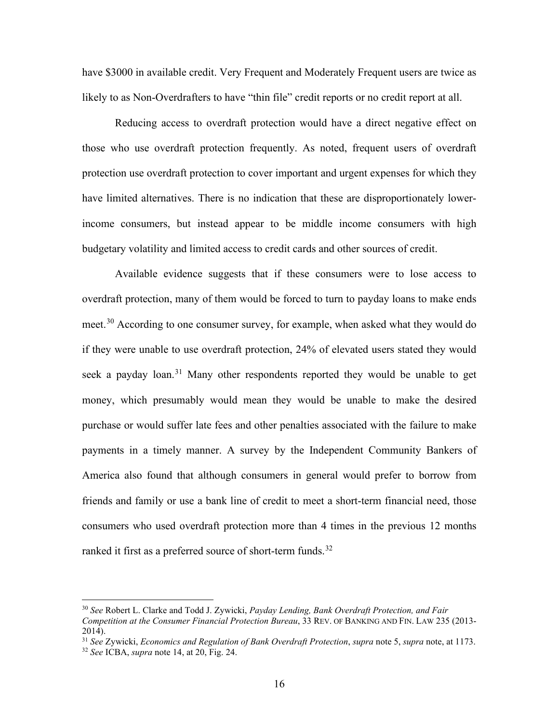have \$3000 in available credit. Very Frequent and Moderately Frequent users are twice as likely to as Non-Overdrafters to have "thin file" credit reports or no credit report at all.

Reducing access to overdraft protection would have a direct negative effect on those who use overdraft protection frequently. As noted, frequent users of overdraft protection use overdraft protection to cover important and urgent expenses for which they have limited alternatives. There is no indication that these are disproportionately lowerincome consumers, but instead appear to be middle income consumers with high budgetary volatility and limited access to credit cards and other sources of credit.

Available evidence suggests that if these consumers were to lose access to overdraft protection, many of them would be forced to turn to payday loans to make ends meet.<sup>[30](#page-17-0)</sup> According to one consumer survey, for example, when asked what they would do if they were unable to use overdraft protection, 24% of elevated users stated they would seek a payday loan.<sup>[31](#page-17-1)</sup> Many other respondents reported they would be unable to get money, which presumably would mean they would be unable to make the desired purchase or would suffer late fees and other penalties associated with the failure to make payments in a timely manner. A survey by the Independent Community Bankers of America also found that although consumers in general would prefer to borrow from friends and family or use a bank line of credit to meet a short-term financial need, those consumers who used overdraft protection more than 4 times in the previous 12 months ranked it first as a preferred source of short-term funds.<sup>[32](#page-17-2)</sup>

<span id="page-17-0"></span><sup>30</sup> *See* Robert L. Clarke and Todd J. Zywicki, *Payday Lending, Bank Overdraft Protection, and Fair Competition at the Consumer Financial Protection Bureau*, 33 REV. OF BANKING AND FIN. LAW 235 (2013- 2014).

<span id="page-17-1"></span><sup>31</sup> *See* Zywicki, *Economics and Regulation of Bank Overdraft Protection*, *supra* not[e 5,](#page-5-3) *supra* note, at 1173.

<span id="page-17-2"></span><sup>32</sup> *See* ICBA, *supra* note [14,](#page-9-2) at 20, Fig. 24.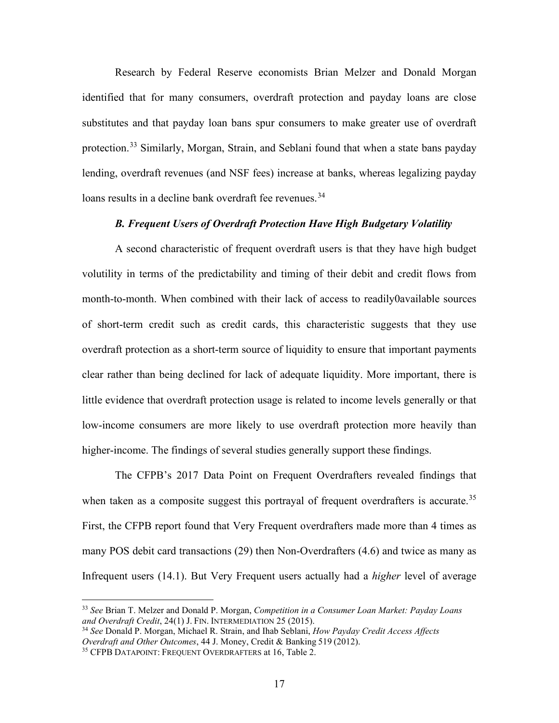Research by Federal Reserve economists Brian Melzer and Donald Morgan identified that for many consumers, overdraft protection and payday loans are close substitutes and that payday loan bans spur consumers to make greater use of overdraft protection.<sup>[33](#page-18-0)</sup> Similarly, Morgan, Strain, and Seblani found that when a state bans payday lending, overdraft revenues (and NSF fees) increase at banks, whereas legalizing payday loans results in a decline bank overdraft fee revenues.<sup>[34](#page-18-1)</sup>

# *B. Frequent Users of Overdraft Protection Have High Budgetary Volatility*

A second characteristic of frequent overdraft users is that they have high budget volutility in terms of the predictability and timing of their debit and credit flows from month-to-month. When combined with their lack of access to readily0available sources of short-term credit such as credit cards, this characteristic suggests that they use overdraft protection as a short-term source of liquidity to ensure that important payments clear rather than being declined for lack of adequate liquidity. More important, there is little evidence that overdraft protection usage is related to income levels generally or that low-income consumers are more likely to use overdraft protection more heavily than higher-income. The findings of several studies generally support these findings.

The CFPB's 2017 Data Point on Frequent Overdrafters revealed findings that when taken as a composite suggest this portrayal of frequent overdrafters is accurate.<sup>[35](#page-18-2)</sup> First, the CFPB report found that Very Frequent overdrafters made more than 4 times as many POS debit card transactions (29) then Non-Overdrafters (4.6) and twice as many as Infrequent users (14.1). But Very Frequent users actually had a *higher* level of average

<span id="page-18-0"></span><sup>33</sup> *See* Brian T. Melzer and Donald P. Morgan, *Competition in a Consumer Loan Market: Payday Loans and Overdraft Credit*, 24(1) J. FIN. INTERMEDIATION 25 (2015).

<span id="page-18-1"></span><sup>34</sup> *See* Donald P. Morgan, Michael R. Strain, and Ihab Seblani, *How Payday Credit Access Affects Overdraft and Other Outcomes*, 44 J. Money, Credit & Banking 519 (2012).

<span id="page-18-2"></span><sup>35</sup> CFPB DATAPOINT: FREQUENT OVERDRAFTERS at 16, Table 2.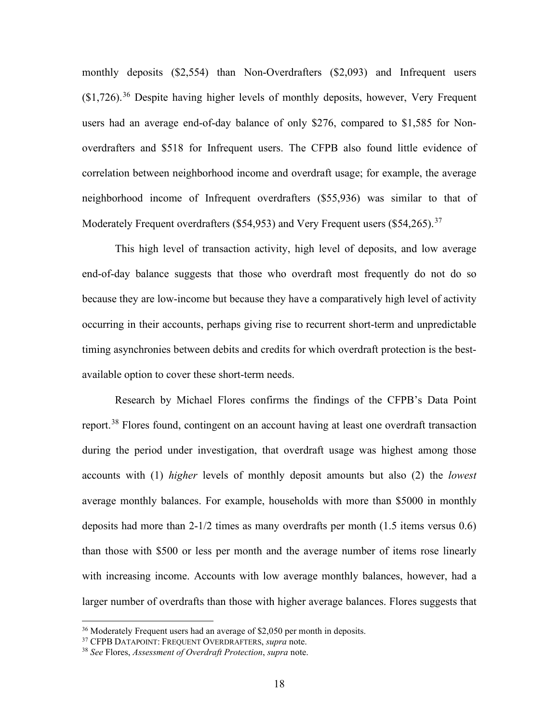monthly deposits (\$2,554) than Non-Overdrafters (\$2,093) and Infrequent users  $($1,726)$ .<sup>[36](#page-19-0)</sup> Despite having higher levels of monthly deposits, however, Very Frequent users had an average end-of-day balance of only \$276, compared to \$1,585 for Nonoverdrafters and \$518 for Infrequent users. The CFPB also found little evidence of correlation between neighborhood income and overdraft usage; for example, the average neighborhood income of Infrequent overdrafters (\$55,936) was similar to that of Moderately Frequent overdrafters (\$54,953) and Very Frequent users (\$54,265).<sup>[37](#page-19-1)</sup>

This high level of transaction activity, high level of deposits, and low average end-of-day balance suggests that those who overdraft most frequently do not do so because they are low-income but because they have a comparatively high level of activity occurring in their accounts, perhaps giving rise to recurrent short-term and unpredictable timing asynchronies between debits and credits for which overdraft protection is the bestavailable option to cover these short-term needs.

Research by Michael Flores confirms the findings of the CFPB's Data Point report.<sup>[38](#page-19-2)</sup> Flores found, contingent on an account having at least one overdraft transaction during the period under investigation, that overdraft usage was highest among those accounts with (1) *higher* levels of monthly deposit amounts but also (2) the *lowest* average monthly balances. For example, households with more than \$5000 in monthly deposits had more than 2-1/2 times as many overdrafts per month (1.5 items versus 0.6) than those with \$500 or less per month and the average number of items rose linearly with increasing income. Accounts with low average monthly balances, however, had a larger number of overdrafts than those with higher average balances. Flores suggests that

<span id="page-19-0"></span><sup>&</sup>lt;sup>36</sup> Moderately Frequent users had an average of \$2,050 per month in deposits.

<span id="page-19-1"></span><sup>37</sup> CFPB DATAPOINT: FREQUENT OVERDRAFTERS, *supra* note.

<span id="page-19-2"></span><sup>38</sup> *See* Flores, *Assessment of Overdraft Protection*, *supra* note.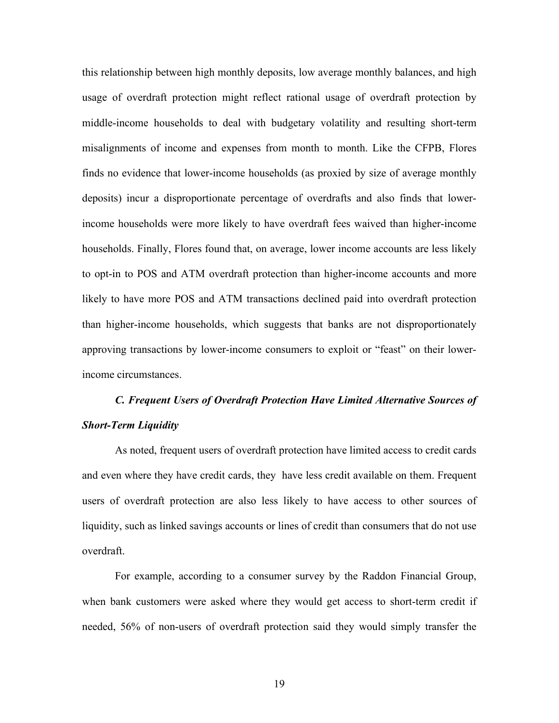this relationship between high monthly deposits, low average monthly balances, and high usage of overdraft protection might reflect rational usage of overdraft protection by middle-income households to deal with budgetary volatility and resulting short-term misalignments of income and expenses from month to month. Like the CFPB, Flores finds no evidence that lower-income households (as proxied by size of average monthly deposits) incur a disproportionate percentage of overdrafts and also finds that lowerincome households were more likely to have overdraft fees waived than higher-income households. Finally, Flores found that, on average, lower income accounts are less likely to opt-in to POS and ATM overdraft protection than higher-income accounts and more likely to have more POS and ATM transactions declined paid into overdraft protection than higher-income households, which suggests that banks are not disproportionately approving transactions by lower-income consumers to exploit or "feast" on their lowerincome circumstances.

# *C. Frequent Users of Overdraft Protection Have Limited Alternative Sources of Short-Term Liquidity*

As noted, frequent users of overdraft protection have limited access to credit cards and even where they have credit cards, they have less credit available on them. Frequent users of overdraft protection are also less likely to have access to other sources of liquidity, such as linked savings accounts or lines of credit than consumers that do not use overdraft.

For example, according to a consumer survey by the Raddon Financial Group, when bank customers were asked where they would get access to short-term credit if needed, 56% of non-users of overdraft protection said they would simply transfer the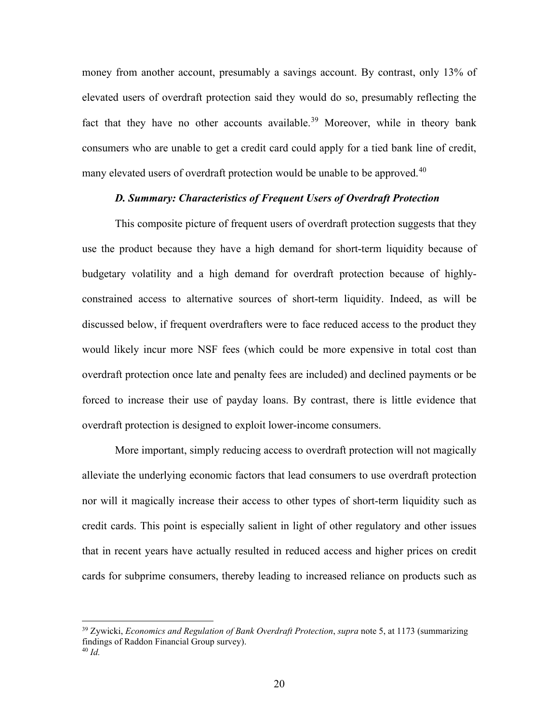money from another account, presumably a savings account. By contrast, only 13% of elevated users of overdraft protection said they would do so, presumably reflecting the fact that they have no other accounts available.<sup>[39](#page-21-0)</sup> Moreover, while in theory bank consumers who are unable to get a credit card could apply for a tied bank line of credit, many elevated users of overdraft protection would be unable to be approved.<sup>[40](#page-21-1)</sup>

## *D. Summary: Characteristics of Frequent Users of Overdraft Protection*

This composite picture of frequent users of overdraft protection suggests that they use the product because they have a high demand for short-term liquidity because of budgetary volatility and a high demand for overdraft protection because of highlyconstrained access to alternative sources of short-term liquidity. Indeed, as will be discussed below, if frequent overdrafters were to face reduced access to the product they would likely incur more NSF fees (which could be more expensive in total cost than overdraft protection once late and penalty fees are included) and declined payments or be forced to increase their use of payday loans. By contrast, there is little evidence that overdraft protection is designed to exploit lower-income consumers.

More important, simply reducing access to overdraft protection will not magically alleviate the underlying economic factors that lead consumers to use overdraft protection nor will it magically increase their access to other types of short-term liquidity such as credit cards. This point is especially salient in light of other regulatory and other issues that in recent years have actually resulted in reduced access and higher prices on credit cards for subprime consumers, thereby leading to increased reliance on products such as

<span id="page-21-1"></span><span id="page-21-0"></span><sup>39</sup> Zywicki, *Economics and Regulation of Bank Overdraft Protection*, *supra* note [5,](#page-5-3) at 1173 (summarizing findings of Raddon Financial Group survey). <sup>40</sup> *Id.*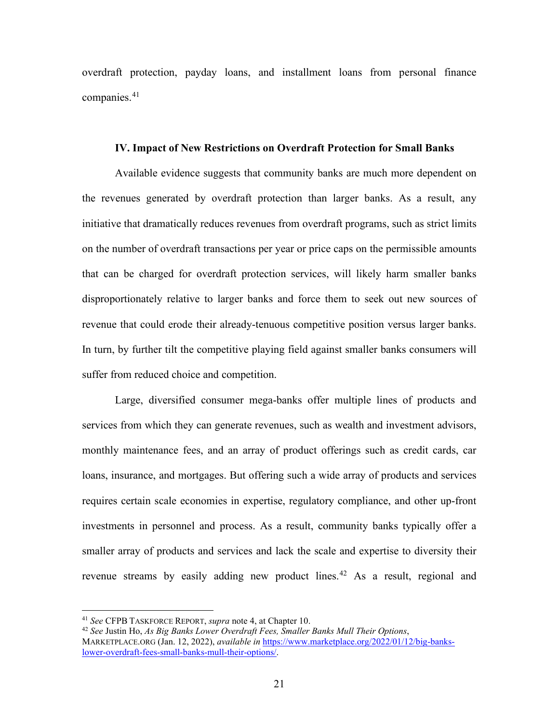overdraft protection, payday loans, and installment loans from personal finance companies.<sup>[41](#page-22-0)</sup>

### **IV. Impact of New Restrictions on Overdraft Protection for Small Banks**

Available evidence suggests that community banks are much more dependent on the revenues generated by overdraft protection than larger banks. As a result, any initiative that dramatically reduces revenues from overdraft programs, such as strict limits on the number of overdraft transactions per year or price caps on the permissible amounts that can be charged for overdraft protection services, will likely harm smaller banks disproportionately relative to larger banks and force them to seek out new sources of revenue that could erode their already-tenuous competitive position versus larger banks. In turn, by further tilt the competitive playing field against smaller banks consumers will suffer from reduced choice and competition.

Large, diversified consumer mega-banks offer multiple lines of products and services from which they can generate revenues, such as wealth and investment advisors, monthly maintenance fees, and an array of product offerings such as credit cards, car loans, insurance, and mortgages. But offering such a wide array of products and services requires certain scale economies in expertise, regulatory compliance, and other up-front investments in personnel and process. As a result, community banks typically offer a smaller array of products and services and lack the scale and expertise to diversity their revenue streams by easily adding new product lines.<sup>[42](#page-22-1)</sup> As a result, regional and

<span id="page-22-0"></span><sup>41</sup> *See* CFPB TASKFORCE REPORT, *supra* not[e 4,](#page-5-2) at Chapter 10.

<span id="page-22-1"></span><sup>42</sup> *See* Justin Ho, *As Big Banks Lower Overdraft Fees, Smaller Banks Mull Their Options*, MARKETPLACE.ORG (Jan. 12, 2022), *available in* [https://www.marketplace.org/2022/01/12/big-banks](https://www.marketplace.org/2022/01/12/big-banks-lower-overdraft-fees-small-banks-mull-their-options/)[lower-overdraft-fees-small-banks-mull-their-options/.](https://www.marketplace.org/2022/01/12/big-banks-lower-overdraft-fees-small-banks-mull-their-options/)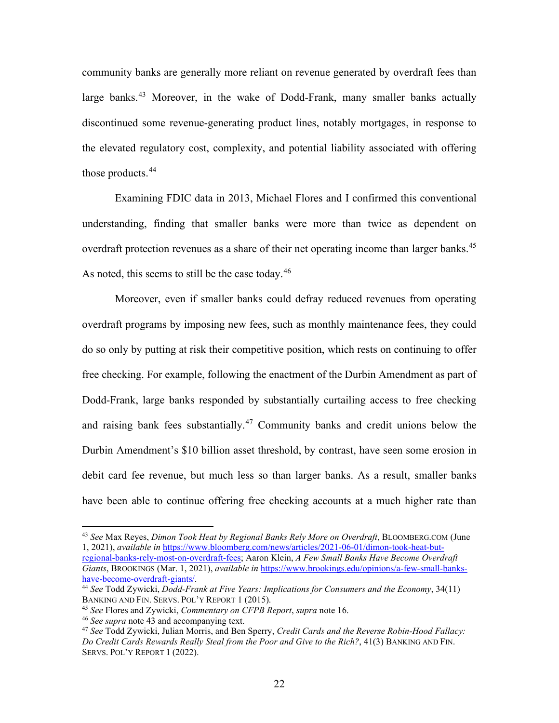<span id="page-23-0"></span>community banks are generally more reliant on revenue generated by overdraft fees than large banks.<sup>[43](#page-23-1)</sup> Moreover, in the wake of Dodd-Frank, many smaller banks actually discontinued some revenue-generating product lines, notably mortgages, in response to the elevated regulatory cost, complexity, and potential liability associated with offering those products.<sup>[44](#page-23-2)</sup>

Examining FDIC data in 2013, Michael Flores and I confirmed this conventional understanding, finding that smaller banks were more than twice as dependent on overdraft protection revenues as a share of their net operating income than larger banks.<sup>[45](#page-23-3)</sup> As noted, this seems to still be the case today.  $46$ 

Moreover, even if smaller banks could defray reduced revenues from operating overdraft programs by imposing new fees, such as monthly maintenance fees, they could do so only by putting at risk their competitive position, which rests on continuing to offer free checking. For example, following the enactment of the Durbin Amendment as part of Dodd-Frank, large banks responded by substantially curtailing access to free checking and raising bank fees substantially.[47](#page-23-5) Community banks and credit unions below the Durbin Amendment's \$10 billion asset threshold, by contrast, have seen some erosion in debit card fee revenue, but much less so than larger banks. As a result, smaller banks have been able to continue offering free checking accounts at a much higher rate than

<span id="page-23-1"></span><sup>43</sup> *See* Max Reyes, *Dimon Took Heat by Regional Banks Rely More on Overdraft*, BLOOMBERG.COM (June 1, 2021), *available in* [https://www.bloomberg.com/news/articles/2021-06-01/dimon-took-heat-but](https://www.bloomberg.com/news/articles/2021-06-01/dimon-took-heat-but-regional-banks-rely-most-on-overdraft-fees)[regional-banks-rely-most-on-overdraft-fees;](https://www.bloomberg.com/news/articles/2021-06-01/dimon-took-heat-but-regional-banks-rely-most-on-overdraft-fees) Aaron Klein, *A Few Small Banks Have Become Overdraft Giants*, BROOKINGS (Mar. 1, 2021), *available in* [https://www.brookings.edu/opinions/a-few-small-banks-](https://www.brookings.edu/opinions/a-few-small-banks-have-become-overdraft-giants/)

<span id="page-23-2"></span><sup>&</sup>lt;sup>44</sup> See Todd Zywicki, *Dodd-Frank at Five Years: Implications for Consumers and the Economy*, 34(11) BANKING AND FIN. SERVS. POL'Y REPORT 1 (2015).

<span id="page-23-3"></span><sup>45</sup> *See* Flores and Zywicki, *Commentary on CFPB Report*, *supra* not[e 16.](#page-10-3) 46 *See supra* note [43](#page-23-0) and accompanying text.

<span id="page-23-4"></span>

<span id="page-23-5"></span><sup>47</sup> *See* Todd Zywicki, Julian Morris, and Ben Sperry, *Credit Cards and the Reverse Robin-Hood Fallacy: Do Credit Cards Rewards Really Steal from the Poor and Give to the Rich?*, 41(3) BANKING AND FIN. SERVS. POL'Y REPORT 1 (2022).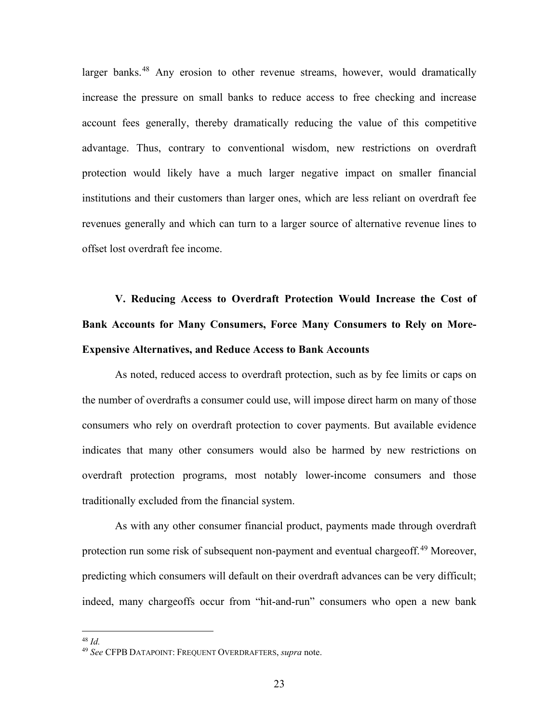larger banks.<sup>[48](#page-24-0)</sup> Any erosion to other revenue streams, however, would dramatically increase the pressure on small banks to reduce access to free checking and increase account fees generally, thereby dramatically reducing the value of this competitive advantage. Thus, contrary to conventional wisdom, new restrictions on overdraft protection would likely have a much larger negative impact on smaller financial institutions and their customers than larger ones, which are less reliant on overdraft fee revenues generally and which can turn to a larger source of alternative revenue lines to offset lost overdraft fee income.

**V. Reducing Access to Overdraft Protection Would Increase the Cost of Bank Accounts for Many Consumers, Force Many Consumers to Rely on More-Expensive Alternatives, and Reduce Access to Bank Accounts**

As noted, reduced access to overdraft protection, such as by fee limits or caps on the number of overdrafts a consumer could use, will impose direct harm on many of those consumers who rely on overdraft protection to cover payments. But available evidence indicates that many other consumers would also be harmed by new restrictions on overdraft protection programs, most notably lower-income consumers and those traditionally excluded from the financial system.

As with any other consumer financial product, payments made through overdraft protection run some risk of subsequent non-payment and eventual chargeoff.<sup>[49](#page-24-1)</sup> Moreover, predicting which consumers will default on their overdraft advances can be very difficult; indeed, many chargeoffs occur from "hit-and-run" consumers who open a new bank

<sup>48</sup> *Id.*

<span id="page-24-1"></span><span id="page-24-0"></span><sup>49</sup> *See* CFPB DATAPOINT: FREQUENT OVERDRAFTERS, *supra* note.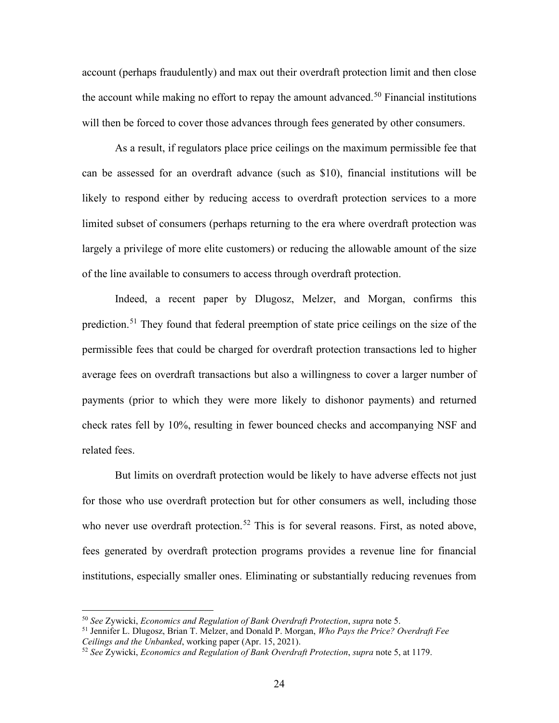account (perhaps fraudulently) and max out their overdraft protection limit and then close the account while making no effort to repay the amount advanced.<sup>[50](#page-25-0)</sup> Financial institutions will then be forced to cover those advances through fees generated by other consumers.

As a result, if regulators place price ceilings on the maximum permissible fee that can be assessed for an overdraft advance (such as \$10), financial institutions will be likely to respond either by reducing access to overdraft protection services to a more limited subset of consumers (perhaps returning to the era where overdraft protection was largely a privilege of more elite customers) or reducing the allowable amount of the size of the line available to consumers to access through overdraft protection.

<span id="page-25-3"></span>Indeed, a recent paper by Dlugosz, Melzer, and Morgan, confirms this prediction.<sup>[51](#page-25-1)</sup> They found that federal preemption of state price ceilings on the size of the permissible fees that could be charged for overdraft protection transactions led to higher average fees on overdraft transactions but also a willingness to cover a larger number of payments (prior to which they were more likely to dishonor payments) and returned check rates fell by 10%, resulting in fewer bounced checks and accompanying NSF and related fees.

But limits on overdraft protection would be likely to have adverse effects not just for those who use overdraft protection but for other consumers as well, including those who never use overdraft protection.<sup>[52](#page-25-2)</sup> This is for several reasons. First, as noted above, fees generated by overdraft protection programs provides a revenue line for financial institutions, especially smaller ones. Eliminating or substantially reducing revenues from

<span id="page-25-0"></span><sup>50</sup> *See* Zywicki, *Economics and Regulation of Bank Overdraft Protection*, *supra* not[e 5.](#page-5-3)

<span id="page-25-1"></span><sup>51</sup> Jennifer L. Dlugosz, Brian T. Melzer, and Donald P. Morgan, *Who Pays the Price? Overdraft Fee Ceilings and the Unbanked*, working paper (Apr. 15, 2021).

<span id="page-25-2"></span><sup>52</sup> *See* Zywicki, *Economics and Regulation of Bank Overdraft Protection*, *supra* not[e 5,](#page-5-3) at 1179.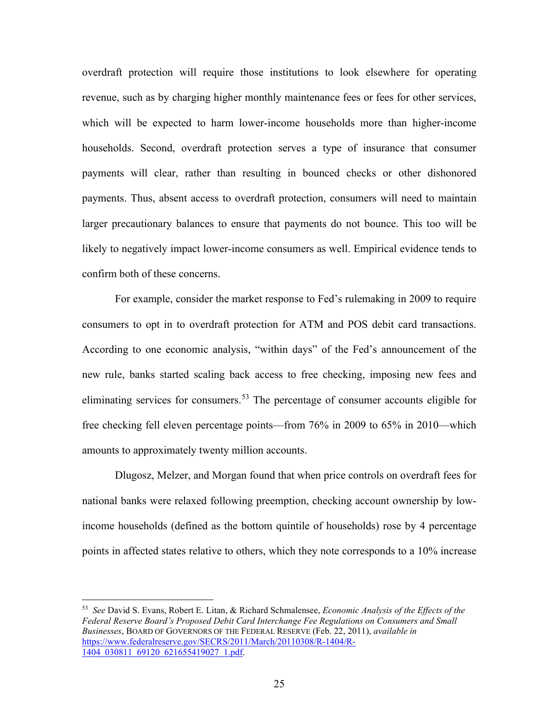overdraft protection will require those institutions to look elsewhere for operating revenue, such as by charging higher monthly maintenance fees or fees for other services, which will be expected to harm lower-income households more than higher-income households. Second, overdraft protection serves a type of insurance that consumer payments will clear, rather than resulting in bounced checks or other dishonored payments. Thus, absent access to overdraft protection, consumers will need to maintain larger precautionary balances to ensure that payments do not bounce. This too will be likely to negatively impact lower-income consumers as well. Empirical evidence tends to confirm both of these concerns.

For example, consider the market response to Fed's rulemaking in 2009 to require consumers to opt in to overdraft protection for ATM and POS debit card transactions. According to one economic analysis, "within days" of the Fed's announcement of the new rule, banks started scaling back access to free checking, imposing new fees and eliminating services for consumers.<sup>[53](#page-26-0)</sup> The percentage of consumer accounts eligible for free checking fell eleven percentage points—from 76% in 2009 to 65% in 2010—which amounts to approximately twenty million accounts.

Dlugosz, Melzer, and Morgan found that when price controls on overdraft fees for national banks were relaxed following preemption, checking account ownership by lowincome households (defined as the bottom quintile of households) rose by 4 percentage points in affected states relative to others, which they note corresponds to a 10% increase

<span id="page-26-0"></span><sup>53</sup> *See* David S. Evans, Robert E. Litan, & Richard Schmalensee, *Economic Analysis of the Effects of the Federal Reserve Board's Proposed Debit Card Interchange Fee Regulations on Consumers and Small Businesses*, BOARD OF GOVERNORS OF THE FEDERAL RESERVE (Feb. 22, 2011), *available in* [https://www.federalreserve.gov/SECRS/2011/March/20110308/R-1404/R-](https://www.federalreserve.gov/SECRS/2011/March/20110308/R-1404/R-1404_030811_69120_621655419027_1.pdf)[1404\\_030811\\_69120\\_621655419027\\_1.pdf.](https://www.federalreserve.gov/SECRS/2011/March/20110308/R-1404/R-1404_030811_69120_621655419027_1.pdf)